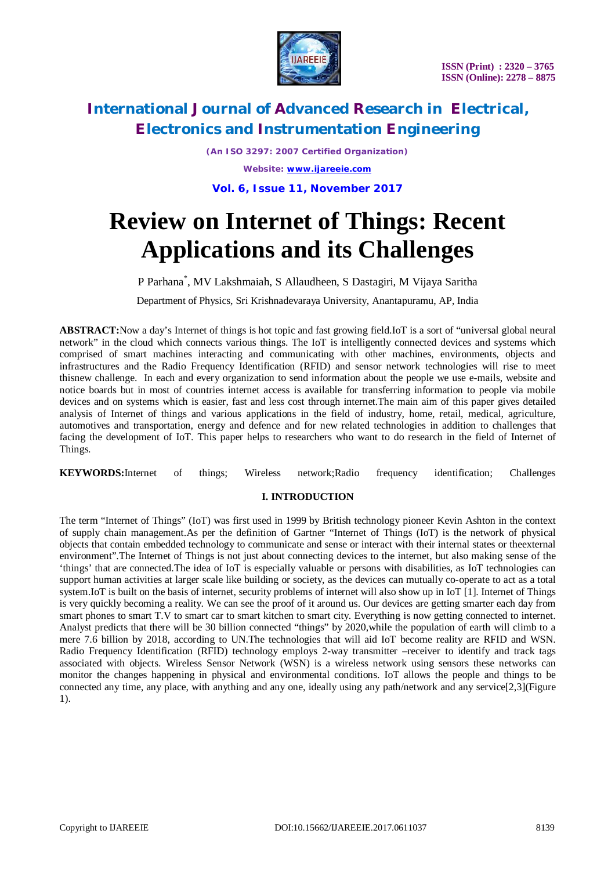

*(An ISO 3297: 2007 Certified Organization) Website: [www.ijareeie.com](http://www.ijareeie.com)*

**Vol. 6, Issue 11, November 2017**

# **Review on Internet of Things: Recent Applications and its Challenges**

P Parhana\* , MV Lakshmaiah, S Allaudheen, S Dastagiri, M Vijaya Saritha

Department of Physics, Sri Krishnadevaraya University, Anantapuramu, AP, India

**ABSTRACT:**Now a day's Internet of things is hot topic and fast growing field.IoT is a sort of "universal global neural network" in the cloud which connects various things. The IoT is intelligently connected devices and systems which comprised of smart machines interacting and communicating with other machines, environments, objects and infrastructures and the Radio Frequency Identification (RFID) and sensor network technologies will rise to meet thisnew challenge. In each and every organization to send information about the people we use e-mails, website and notice boards but in most of countries internet access is available for transferring information to people via mobile devices and on systems which is easier, fast and less cost through internet.The main aim of this paper gives detailed analysis of Internet of things and various applications in the field of industry, home, retail, medical, agriculture, automotives and transportation, energy and defence and for new related technologies in addition to challenges that facing the development of IoT. This paper helps to researchers who want to do research in the field of Internet of Things.

**KEYWORDS:**Internet of things; Wireless network;Radio frequency identification; Challenges

### **I. INTRODUCTION**

The term "Internet of Things" (IoT) was first used in 1999 by British technology pioneer Kevin Ashton in the context of supply chain management.As per the definition of Gartner "Internet of Things (IoT) is the network of physical objects that contain embedded technology to communicate and sense or interact with their internal states or theexternal environment".The Internet of Things is not just about connecting devices to the internet, but also making sense of the 'things' that are connected.The idea of IoT is especially valuable or persons with disabilities, as IoT technologies can support human activities at larger scale like building or society, as the devices can mutually co-operate to act as a total system.IoT is built on the basis of internet, security problems of internet will also show up in IoT [1]. Internet of Things is very quickly becoming a reality. We can see the proof of it around us. Our devices are getting smarter each day from smart phones to smart T.V to smart car to smart kitchen to smart city. Everything is now getting connected to internet. Analyst predicts that there will be 30 billion connected "things" by 2020,while the population of earth will climb to a mere 7.6 billion by 2018, according to UN.The technologies that will aid IoT become reality are RFID and WSN. Radio Frequency Identification (RFID) technology employs 2-way transmitter –receiver to identify and track tags associated with objects. Wireless Sensor Network (WSN) is a wireless network using sensors these networks can monitor the changes happening in physical and environmental conditions. IoT allows the people and things to be connected any time, any place, with anything and any one, ideally using any path/network and any service[2,3](Figure 1).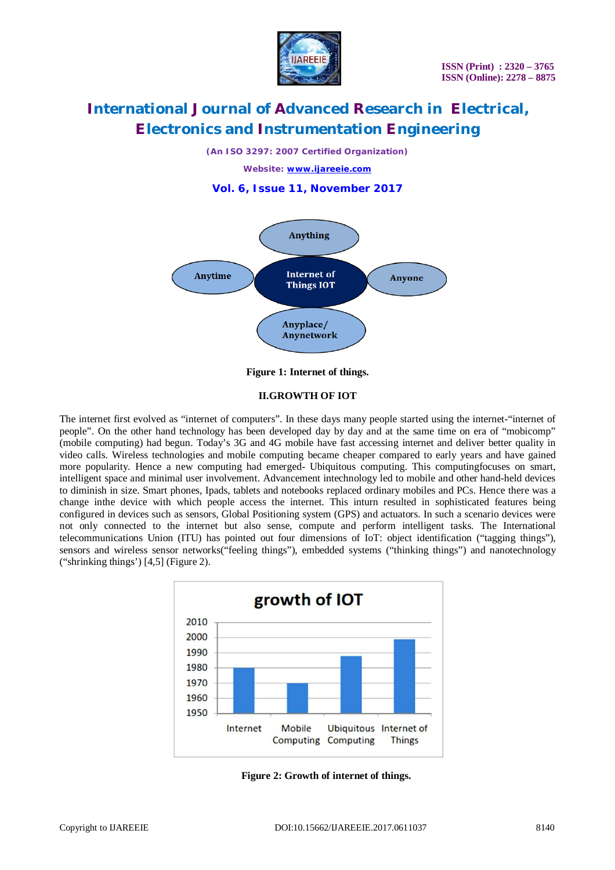

*(An ISO 3297: 2007 Certified Organization)*

*Website: [www.ijareeie.com](http://www.ijareeie.com)*





**Figure 1: Internet of things.**

### **II.GROWTH OF IOT**

The internet first evolved as "internet of computers". In these days many people started using the internet-"internet of people". On the other hand technology has been developed day by day and at the same time on era of "mobicomp" (mobile computing) had begun. Today's 3G and 4G mobile have fast accessing internet and deliver better quality in video calls. Wireless technologies and mobile computing became cheaper compared to early years and have gained more popularity. Hence a new computing had emerged- Ubiquitous computing. This computingfocuses on smart, intelligent space and minimal user involvement. Advancement intechnology led to mobile and other hand-held devices to diminish in size. Smart phones, Ipads, tablets and notebooks replaced ordinary mobiles and PCs. Hence there was a change inthe device with which people access the internet. This inturn resulted in sophisticated features being configured in devices such as sensors, Global Positioning system (GPS) and actuators. In such a scenario devices were not only connected to the internet but also sense, compute and perform intelligent tasks. The International telecommunications Union (ITU) has pointed out four dimensions of IoT: object identification ("tagging things"), sensors and wireless sensor networks("feeling things"), embedded systems ("thinking things") and nanotechnology ("shrinking things') [4,5] (Figure 2).



**Figure 2: Growth of internet of things.**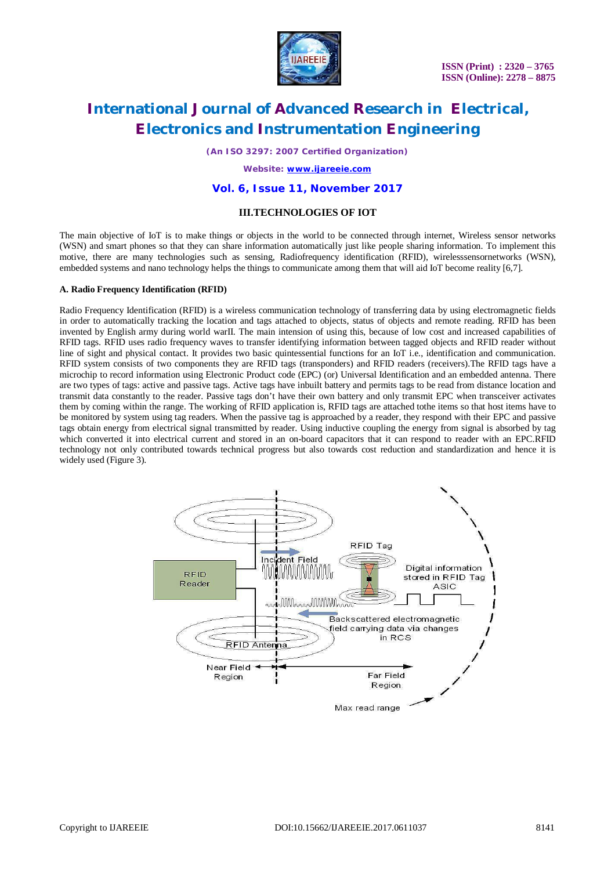

*(An ISO 3297: 2007 Certified Organization)*

*Website: [www.ijareeie.com](http://www.ijareeie.com)*

### **Vol. 6, Issue 11, November 2017**

### **III.TECHNOLOGIES OF IOT**

The main objective of IoT is to make things or objects in the world to be connected through internet, Wireless sensor networks (WSN) and smart phones so that they can share information automatically just like people sharing information. To implement this motive, there are many technologies such as sensing, Radiofrequency identification (RFID), wirelesssensornetworks (WSN), embedded systems and nano technology helps the things to communicate among them that will aid IoT become reality [6,7].

#### **A. Radio Frequency Identification (RFID)**

Radio Frequency Identification (RFID) is a wireless communication technology of transferring data by using electromagnetic fields in order to automatically tracking the location and tags attached to objects, status of objects and remote reading. RFID has been invented by English army during world warII. The main intension of using this, because of low cost and increased capabilities of RFID tags. RFID uses radio frequency waves to transfer identifying information between tagged objects and RFID reader without line of sight and physical contact. It provides two basic quintessential functions for an IoT i.e., identification and communication. RFID system consists of two components they are RFID tags (transponders) and RFID readers (receivers).The RFID tags have a microchip to record information using Electronic Product code (EPC) (or) Universal Identification and an embedded antenna. There are two types of tags: active and passive tags. Active tags have inbuilt battery and permits tags to be read from distance location and transmit data constantly to the reader. Passive tags don't have their own battery and only transmit EPC when transceiver activates them by coming within the range. The working of RFID application is, RFID tags are attached tothe items so that host items have to be monitored by system using tag readers. When the passive tag is approached by a reader, they respond with their EPC and passive tags obtain energy from electrical signal transmitted by reader. Using inductive coupling the energy from signal is absorbed by tag which converted it into electrical current and stored in an on-board capacitors that it can respond to reader with an EPC.RFID technology not only contributed towards technical progress but also towards cost reduction and standardization and hence it is widely used (Figure 3).

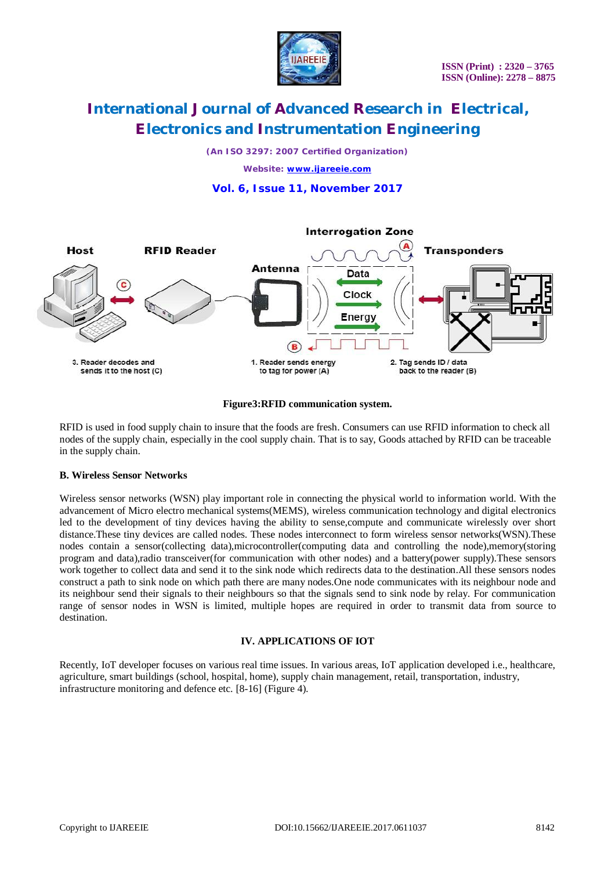

*(An ISO 3297: 2007 Certified Organization)*

*Website: [www.ijareeie.com](http://www.ijareeie.com)*

### **Vol. 6, Issue 11, November 2017**



### **Figure3:RFID communication system.**

RFID is used in food supply chain to insure that the foods are fresh. Consumers can use RFID information to check all nodes of the supply chain, especially in the cool supply chain. That is to say, Goods attached by RFID can be traceable in the supply chain.

### **B. Wireless Sensor Networks**

Wireless sensor networks (WSN) play important role in connecting the physical world to information world. With the advancement of Micro electro mechanical systems(MEMS), wireless communication technology and digital electronics led to the development of tiny devices having the ability to sense,compute and communicate wirelessly over short distance.These tiny devices are called nodes. These nodes interconnect to form wireless sensor networks(WSN).These nodes contain a sensor(collecting data),microcontroller(computing data and controlling the node),memory(storing program and data),radio transceiver(for communication with other nodes) and a battery(power supply).These sensors work together to collect data and send it to the sink node which redirects data to the destination.All these sensors nodes construct a path to sink node on which path there are many nodes.One node communicates with its neighbour node and its neighbour send their signals to their neighbours so that the signals send to sink node by relay. For communication range of sensor nodes in WSN is limited, multiple hopes are required in order to transmit data from source to destination.

### **IV. APPLICATIONS OF IOT**

Recently, IoT developer focuses on various real time issues. In various areas, IoT application developed i.e., healthcare, agriculture, smart buildings (school, hospital, home), supply chain management, retail, transportation, industry, infrastructure monitoring and defence etc. [8-16] (Figure 4).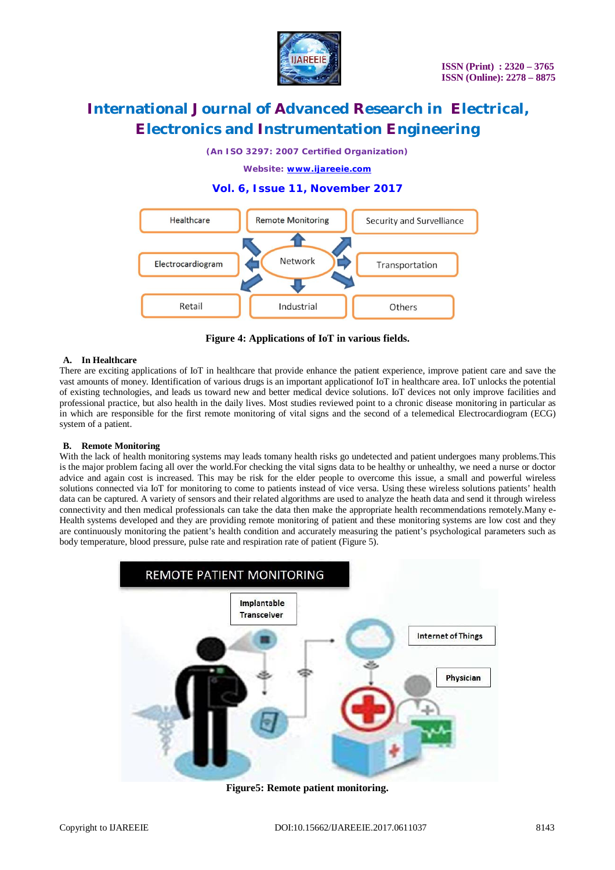

*(An ISO 3297: 2007 Certified Organization)*

*Website: [www.ijareeie.com](http://www.ijareeie.com)*

### **Vol. 6, Issue 11, November 2017**



**Figure 4: Applications of IoT in various fields.**

#### **A. In Healthcare**

There are exciting applications of IoT in healthcare that provide enhance the patient experience, improve patient care and save the vast amounts of money. Identification of various drugs is an important applicationof IoT in healthcare area. IoT unlocks the potential of existing technologies, and leads us toward new and better medical device solutions. IoT devices not only improve facilities and professional practice, but also health in the daily lives. Most studies reviewed point to a chronic disease monitoring in particular as in which are responsible for the first remote monitoring of vital signs and the second of a telemedical Electrocardiogram (ECG) system of a patient.

### **B. Remote Monitoring**

With the lack of health monitoring systems may leads tomany health risks go undetected and patient undergoes many problems.This is the major problem facing all over the world.For checking the vital signs data to be healthy or unhealthy, we need a nurse or doctor advice and again cost is increased. This may be risk for the elder people to overcome this issue, a small and powerful wireless solutions connected via IoT for monitoring to come to patients instead of vice versa. Using these wireless solutions patients' health data can be captured. A variety of sensors and their related algorithms are used to analyze the heath data and send it through wireless connectivity and then medical professionals can take the data then make the appropriate health recommendations remotely.Many e-Health systems developed and they are providing remote monitoring of patient and these monitoring systems are low cost and they are continuously monitoring the patient's health condition and accurately measuring the patient's psychological parameters such as body temperature, blood pressure, pulse rate and respiration rate of patient (Figure 5).



**Figure5: Remote patient monitoring.**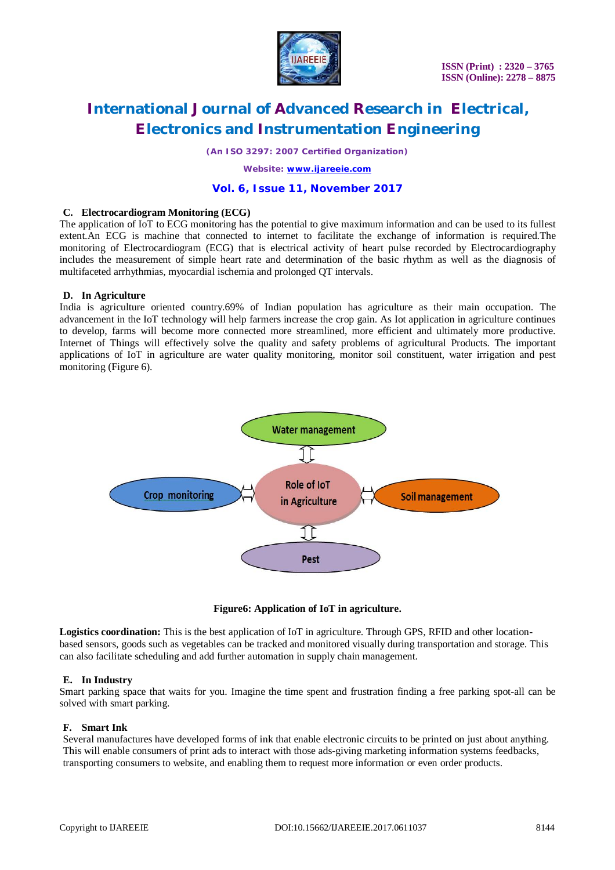

*(An ISO 3297: 2007 Certified Organization)*

*Website: [www.ijareeie.com](http://www.ijareeie.com)*

### **Vol. 6, Issue 11, November 2017**

### **C. Electrocardiogram Monitoring (ECG)**

The application of IoT to ECG monitoring has the potential to give maximum information and can be used to its fullest extent.An ECG is machine that connected to internet to facilitate the exchange of information is required.The monitoring of Electrocardiogram (ECG) that is electrical activity of heart pulse recorded by Electrocardiography includes the measurement of simple heart rate and determination of the basic rhythm as well as the diagnosis of multifaceted arrhythmias, myocardial ischemia and prolonged QT intervals.

### **D. In Agriculture**

India is agriculture oriented country.69% of Indian population has agriculture as their main occupation. The advancement in the IoT technology will help farmers increase the crop gain. As Iot application in agriculture continues to develop, farms will become more connected more streamlined, more efficient and ultimately more productive. Internet of Things will effectively solve the quality and safety problems of agricultural Products. The important applications of IoT in agriculture are water quality monitoring, monitor soil constituent, water irrigation and pest monitoring (Figure 6).



### **Figure6: Application of IoT in agriculture.**

**Logistics coordination:** This is the best application of IoT in agriculture. Through GPS, RFID and other locationbased sensors, goods such as vegetables can be tracked and monitored visually during transportation and storage. This can also facilitate scheduling and add further automation in supply chain management.

### **E. In Industry**

Smart parking space that waits for you. Imagine the time spent and frustration finding a free parking spot-all can be solved with smart parking.

### **F. Smart Ink**

Several manufactures have developed forms of ink that enable electronic circuits to be printed on just about anything. This will enable consumers of print ads to interact with those ads-giving marketing information systems feedbacks, transporting consumers to website, and enabling them to request more information or even order products.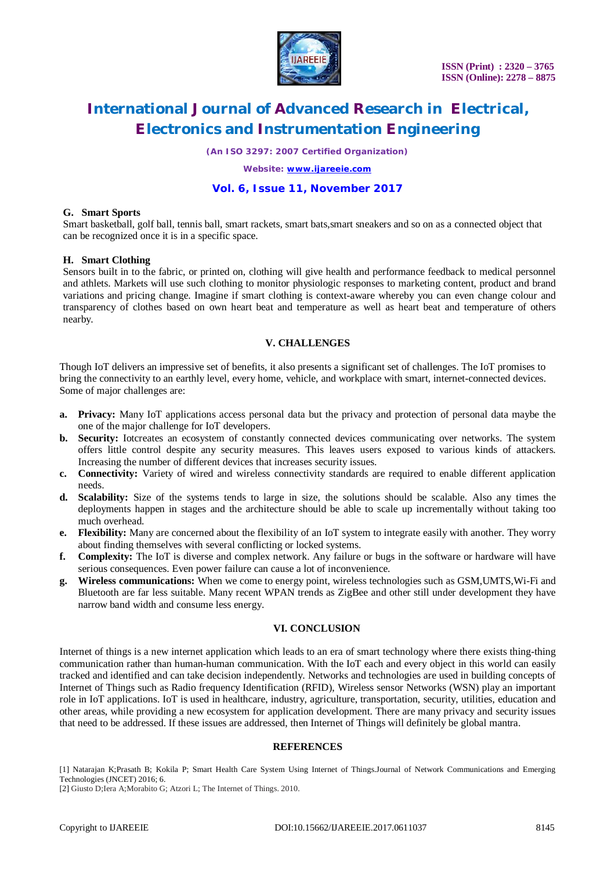

*(An ISO 3297: 2007 Certified Organization)*

*Website: [www.ijareeie.com](http://www.ijareeie.com)*

### **Vol. 6, Issue 11, November 2017**

#### **G. Smart Sports**

Smart basketball, golf ball, tennis ball, smart rackets, smart bats,smart sneakers and so on as a connected object that can be recognized once it is in a specific space.

### **H. Smart Clothing**

Sensors built in to the fabric, or printed on, clothing will give health and performance feedback to medical personnel and athlets. Markets will use such clothing to monitor physiologic responses to marketing content, product and brand variations and pricing change. Imagine if smart clothing is context-aware whereby you can even change colour and transparency of clothes based on own heart beat and temperature as well as heart beat and temperature of others nearby.

### **V. CHALLENGES**

Though IoT delivers an impressive set of benefits, it also presents a significant set of challenges. The IoT promises to bring the connectivity to an earthly level, every home, vehicle, and workplace with smart, internet-connected devices. Some of major challenges are:

- **a. Privacy:** Many IoT applications access personal data but the privacy and protection of personal data maybe the one of the major challenge for IoT developers.
- **b. Security:** Iotcreates an ecosystem of constantly connected devices communicating over networks. The system offers little control despite any security measures. This leaves users exposed to various kinds of attackers. Increasing the number of different devices that increases security issues.
- **c. Connectivity:** Variety of wired and wireless connectivity standards are required to enable different application needs.
- **d. Scalability:** Size of the systems tends to large in size, the solutions should be scalable. Also any times the deployments happen in stages and the architecture should be able to scale up incrementally without taking too much overhead.
- **e. Flexibility:** Many are concerned about the flexibility of an IoT system to integrate easily with another. They worry about finding themselves with several conflicting or locked systems.
- **f. Complexity:** The IoT is diverse and complex network. Any failure or bugs in the software or hardware will have serious consequences. Even power failure can cause a lot of inconvenience.
- **g. Wireless communications:** When we come to energy point, wireless technologies such as GSM,UMTS,Wi-Fi and Bluetooth are far less suitable. Many recent WPAN trends as ZigBee and other still under development they have narrow band width and consume less energy.

### **VI. CONCLUSION**

Internet of things is a new internet application which leads to an era of smart technology where there exists thing-thing communication rather than human-human communication. With the IoT each and every object in this world can easily tracked and identified and can take decision independently. Networks and technologies are used in building concepts of Internet of Things such as Radio frequency Identification (RFID), Wireless sensor Networks (WSN) play an important role in IoT applications. IoT is used in healthcare, industry, agriculture, transportation, security, utilities, education and other areas, while providing a new ecosystem for application development. There are many privacy and security issues that need to be addressed. If these issues are addressed, then Internet of Things will definitely be global mantra.

### **REFERENCES**

[1] Natarajan K;Prasath B; Kokila P; Smart Health Care System Using Internet of Things.Journal of Network Communications and Emerging Technologies (JNCET) 2016; 6.

[2] Giusto D;Iera A;Morabito G; Atzori L; The Internet of Things. 2010.